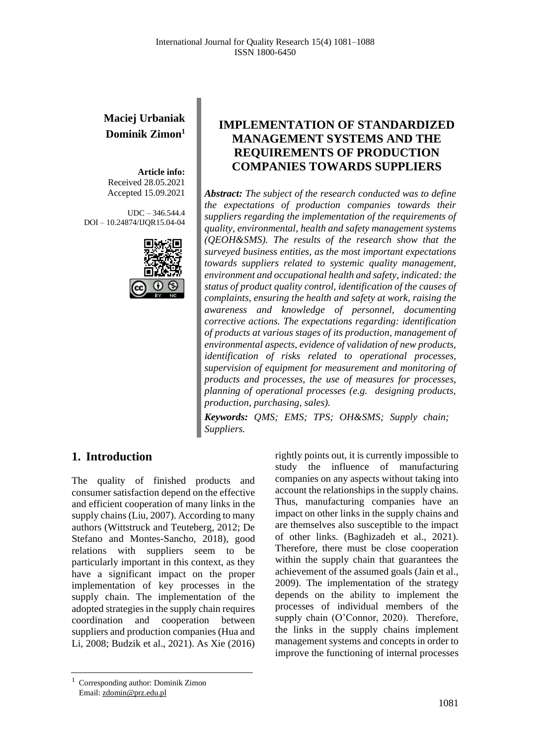# **Maciej Urbaniak Dominik Zimon<sup>1</sup>**

**Article info:** Received 28.05.2021 Accepted 15.09.2021

UDC – 346.544.4 DOI – 10.24874/IJQR15.04-04



# **IMPLEMENTATION OF STANDARDIZED MANAGEMENT SYSTEMS AND THE REQUIREMENTS OF PRODUCTION COMPANIES TOWARDS SUPPLIERS**

*Abstract: The subject of the research conducted was to define the expectations of production companies towards their suppliers regarding the implementation of the requirements of quality, environmental, health and safety management systems (QEOH&SMS). The results of the research show that the surveyed business entities, as the most important expectations towards suppliers related to systemic quality management, environment and occupational health and safety, indicated: the status of product quality control, identification of the causes of complaints, ensuring the health and safety at work, raising the awareness and knowledge of personnel, documenting corrective actions. The expectations regarding: identification of products at various stages of its production, management of environmental aspects, evidence of validation of new products, identification of risks related to operational processes, supervision of equipment for measurement and monitoring of products and processes, the use of measures for processes, planning of operational processes (e.g. designing products, production, purchasing, sales).*

*Keywords: QMS; EMS; TPS; OH&SMS; Supply chain; Suppliers.*

### **1. Introduction**

The quality of finished products and consumer satisfaction depend on the effective and efficient cooperation of many links in the supply chains (Liu, 2007). According to many authors (Wittstruck and Teuteberg, 2012; De Stefano and Montes-Sancho, 2018), good relations with suppliers seem to be particularly important in this context, as they have a significant impact on the proper implementation of key processes in the supply chain. The implementation of the adopted strategies in the supply chain requires coordination and cooperation between suppliers and production companies (Hua and Li, 2008; Budzik et al., 2021). As Xie (2016)

rightly points out, it is currently impossible to study the influence of manufacturing companies on any aspects without taking into account the relationships in the supply chains. Thus, manufacturing companies have an impact on other links in the supply chains and are themselves also susceptible to the impact of other links. (Baghizadeh et al., 2021). Therefore, there must be close cooperation within the supply chain that guarantees the achievement of the assumed goals (Jain et al., 2009). The implementation of the strategy depends on the ability to implement the processes of individual members of the supply chain (O'Connor, 2020). Therefore, the links in the supply chains implement management systems and concepts in order to improve the functioning of internal processes

<sup>1</sup> Corresponding author: Dominik Zimon Email: zdomin@prz.edu.pl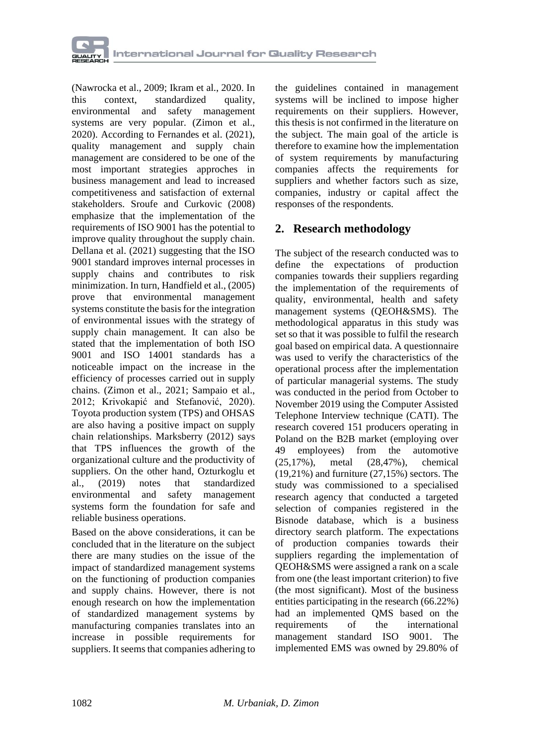

(Nawrocka et al., 2009; Ikram et al., 2020. In this context, standardized quality, environmental and safety management systems are very popular. (Zimon et al., 2020). According to Fernandes et al. (2021), quality management and supply chain management are considered to be one of the most important strategies approches in business management and lead to increased competitiveness and satisfaction of external stakeholders. Sroufe and Curkovic (2008) emphasize that the implementation of the requirements of ISO 9001 has the potential to improve quality throughout the supply chain. Dellana et al. (2021) suggesting that the ISO 9001 standard improves internal processes in supply chains and contributes to risk minimization. In turn, Handfield et al., (2005) prove that environmental management systems constitute the basis for the integration of environmental issues with the strategy of supply chain management. It can also be stated that the implementation of both ISO 9001 and ISO 14001 standards has a noticeable impact on the increase in the efficiency of processes carried out in supply chains. (Zimon et al., 2021; Sampaio et al., 2012; Krivokapić and Stefanović, 2020). Toyota production system (TPS) and OHSAS are also having a positive impact on supply chain relationships. Marksberry (2012) says that TPS influences the growth of the organizational culture and the productivity of suppliers. On the other hand, Ozturkoglu et al., (2019) notes that standardized environmental and safety management systems form the foundation for safe and reliable business operations.

Based on the above considerations, it can be concluded that in the literature on the subject there are many studies on the issue of the impact of standardized management systems on the functioning of production companies and supply chains. However, there is not enough research on how the implementation of standardized management systems by manufacturing companies translates into an increase in possible requirements for suppliers. It seems that companies adhering to

the guidelines contained in management systems will be inclined to impose higher requirements on their suppliers. However, this thesis is not confirmed in the literature on the subject. The main goal of the article is therefore to examine how the implementation of system requirements by manufacturing companies affects the requirements for suppliers and whether factors such as size, companies, industry or capital affect the responses of the respondents.

### **2. Research methodology**

The subject of the research conducted was to define the expectations of production companies towards their suppliers regarding the implementation of the requirements of quality, environmental, health and safety management systems (QEOH&SMS). The methodological apparatus in this study was set so that it was possible to fulfil the research goal based on empirical data. A questionnaire was used to verify the characteristics of the operational process after the implementation of particular managerial systems. The study was conducted in the period from October to November 2019 using the Computer Assisted Telephone Interview technique (CATI). The research covered 151 producers operating in Poland on the B2B market (employing over 49 employees) from the automotive (25,17%), metal (28,47%), chemical (19,21%) and furniture (27,15%) sectors. The study was commissioned to a specialised research agency that conducted a targeted selection of companies registered in the Bisnode database, which is a business directory search platform. The expectations of production companies towards their suppliers regarding the implementation of QEOH&SMS were assigned a rank on a scale from one (the least important criterion) to five (the most significant). Most of the business entities participating in the research (66.22%) had an implemented QMS based on the requirements of the international management standard ISO 9001. The implemented EMS was owned by 29.80% of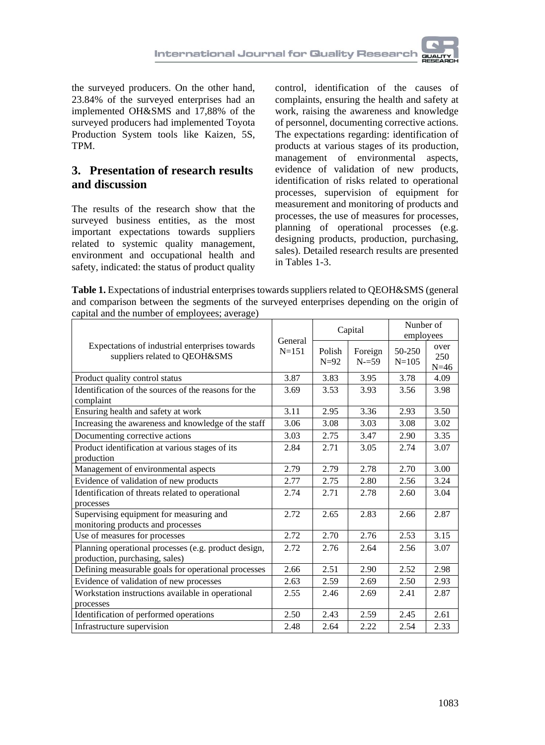the surveyed producers. On the other hand, 23.84% of the surveyed enterprises had an implemented OH&SMS and 17,88% of the surveyed producers had implemented Toyota Production System tools like Kaizen, 5S, TPM.

# **3. Presentation of research results and discussion**

The results of the research show that the surveyed business entities, as the most important expectations towards suppliers related to systemic quality management, environment and occupational health and safety, indicated: the status of product quality control, identification of the causes of complaints, ensuring the health and safety at work, raising the awareness and knowledge of personnel, documenting corrective actions. The expectations regarding: identification of products at various stages of its production, management of environmental aspects, evidence of validation of new products, identification of risks related to operational processes, supervision of equipment for measurement and monitoring of products and processes, the use of measures for processes, planning of operational processes (e.g. designing products, production, purchasing, sales). Detailed research results are presented in Tables 1-3.

**Table 1.** Expectations of industrial enterprises towards suppliers related to QEOH&SMS (general and comparison between the segments of the surveyed enterprises depending on the origin of capital and the number of employees; average)

| Expectations of industrial enterprises towards<br>suppliers related to QEOH&SMS        | General<br>$N = 151$ | Capital          |                     | Nunber of<br>employees |                       |
|----------------------------------------------------------------------------------------|----------------------|------------------|---------------------|------------------------|-----------------------|
|                                                                                        |                      | Polish<br>$N=92$ | Foreign<br>$N = 59$ | 50-250<br>$N = 105$    | over<br>250<br>$N=46$ |
| Product quality control status                                                         | 3.87                 | 3.83             | 3.95                | 3.78                   | 4.09                  |
| Identification of the sources of the reasons for the<br>complaint                      | 3.69                 | 3.53             | 3.93                | 3.56                   | 3.98                  |
| Ensuring health and safety at work                                                     | 3.11                 | 2.95             | 3.36                | 2.93                   | 3.50                  |
| Increasing the awareness and knowledge of the staff                                    | 3.06                 | 3.08             | 3.03                | 3.08                   | 3.02                  |
| Documenting corrective actions                                                         | 3.03                 | 2.75             | 3.47                | 2.90                   | 3.35                  |
| Product identification at various stages of its                                        | 2.84                 | 2.71             | 3.05                | 2.74                   | 3.07                  |
| production                                                                             |                      |                  |                     |                        |                       |
| Management of environmental aspects                                                    | 2.79                 | 2.79             | 2.78                | 2.70                   | 3.00                  |
| Evidence of validation of new products                                                 | 2.77                 | 2.75             | 2.80                | 2.56                   | 3.24                  |
| Identification of threats related to operational<br>processes                          | 2.74                 | 2.71             | 2.78                | 2.60                   | 3.04                  |
| Supervising equipment for measuring and<br>monitoring products and processes           | 2.72                 | 2.65             | 2.83                | 2.66                   | 2.87                  |
| Use of measures for processes                                                          | 2.72                 | 2.70             | 2.76                | 2.53                   | 3.15                  |
| Planning operational processes (e.g. product design,<br>production, purchasing, sales) | 2.72                 | 2.76             | 2.64                | 2.56                   | 3.07                  |
| Defining measurable goals for operational processes                                    | 2.66                 | 2.51             | 2.90                | 2.52                   | 2.98                  |
| Evidence of validation of new processes                                                | 2.63                 | 2.59             | 2.69                | 2.50                   | 2.93                  |
| Workstation instructions available in operational<br>processes                         | 2.55                 | 2.46             | 2.69                | 2.41                   | 2.87                  |
| Identification of performed operations                                                 | 2.50                 | 2.43             | 2.59                | 2.45                   | 2.61                  |
| Infrastructure supervision                                                             | 2.48                 | 2.64             | 2.22                | 2.54                   | 2.33                  |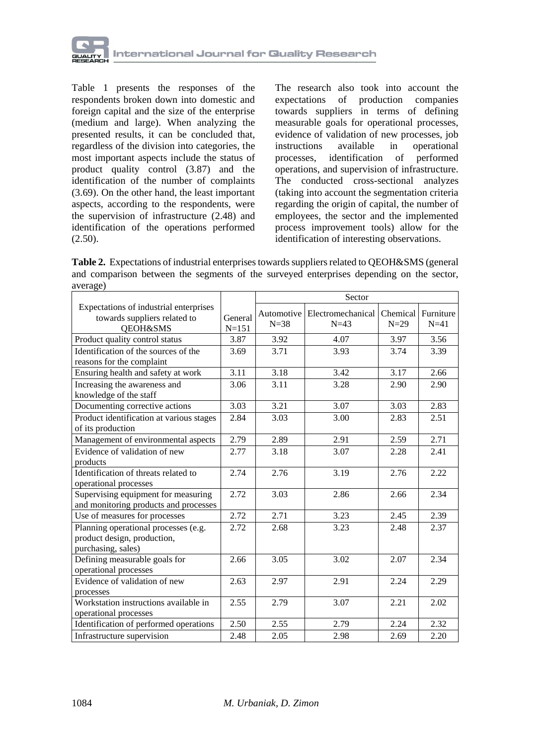

Table 1 presents the responses of the respondents broken down into domestic and foreign capital and the size of the enterprise (medium and large). When analyzing the presented results, it can be concluded that, regardless of the division into categories, the most important aspects include the status of product quality control (3.87) and the identification of the number of complaints (3.69). On the other hand, the least important aspects, according to the respondents, were the supervision of infrastructure (2.48) and identification of the operations performed  $(2.50).$ 

The research also took into account the expectations of production companies towards suppliers in terms of defining measurable goals for operational processes, evidence of validation of new processes, job<br>instructions available in operational in operational processes, identification of performed operations, and supervision of infrastructure. The conducted cross-sectional analyzes (taking into account the segmentation criteria regarding the origin of capital, the number of employees, the sector and the implemented process improvement tools) allow for the identification of interesting observations.

Table 2. Expectations of industrial enterprises towards suppliers related to QEOH&SMS (general and comparison between the segments of the surveyed enterprises depending on the sector, average)

|                                                                                               |                      | Sector                 |                             |                    |                     |  |
|-----------------------------------------------------------------------------------------------|----------------------|------------------------|-----------------------------|--------------------|---------------------|--|
| Expectations of industrial enterprises<br>towards suppliers related to<br><b>OEOH&amp;SMS</b> | General<br>$N = 151$ | Automotive<br>$N = 38$ | Electromechanical<br>$N=43$ | Chemical<br>$N=29$ | Furniture<br>$N=41$ |  |
| Product quality control status                                                                | 3.87                 | 3.92                   | 4.07                        | 3.97               | 3.56                |  |
| Identification of the sources of the<br>reasons for the complaint                             | 3.69                 | 3.71                   | 3.93                        | 3.74               | 3.39                |  |
| Ensuring health and safety at work                                                            | 3.11                 | 3.18                   | 3.42                        | 3.17               | 2.66                |  |
| Increasing the awareness and<br>knowledge of the staff                                        | 3.06                 | 3.11                   | 3.28                        | 2.90               | 2.90                |  |
| Documenting corrective actions                                                                | 3.03                 | 3.21                   | 3.07                        | 3.03               | 2.83                |  |
| Product identification at various stages<br>of its production                                 | 2.84                 | 3.03                   | 3.00                        | 2.83               | 2.51                |  |
| Management of environmental aspects                                                           | 2.79                 | 2.89                   | 2.91                        | 2.59               | 2.71                |  |
| Evidence of validation of new<br>products                                                     | 2.77                 | 3.18                   | 3.07                        | 2.28               | 2.41                |  |
| Identification of threats related to<br>operational processes                                 | 2.74                 | 2.76                   | 3.19                        | 2.76               | 2.22                |  |
| Supervising equipment for measuring<br>and monitoring products and processes                  | 2.72                 | 3.03                   | 2.86                        | 2.66               | 2.34                |  |
| Use of measures for processes                                                                 | 2.72                 | 2.71                   | 3.23                        | 2.45               | 2.39                |  |
| Planning operational processes (e.g.<br>product design, production,<br>purchasing, sales)     | 2.72                 | 2.68                   | 3.23                        | 2.48               | 2.37                |  |
| Defining measurable goals for<br>operational processes                                        | 2.66                 | 3.05                   | 3.02                        | 2.07               | 2.34                |  |
| Evidence of validation of new<br>processes                                                    | 2.63                 | 2.97                   | 2.91                        | 2.24               | 2.29                |  |
| Workstation instructions available in<br>operational processes                                | 2.55                 | 2.79                   | 3.07                        | 2.21               | 2.02                |  |
| Identification of performed operations                                                        | 2.50                 | 2.55                   | 2.79                        | 2.24               | 2.32                |  |
| Infrastructure supervision                                                                    | 2.48                 | 2.05                   | 2.98                        | 2.69               | 2.20                |  |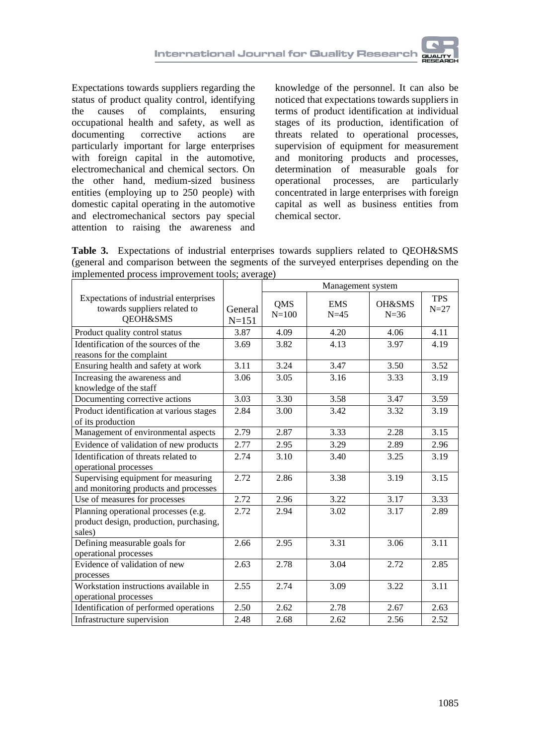Expectations towards suppliers regarding the status of product quality control, identifying<br>the causes of complaints, ensuring the causes of complaints, occupational health and safety, as well as documenting corrective actions are particularly important for large enterprises with foreign capital in the automotive, electromechanical and chemical sectors. On the other hand, medium-sized business entities (employing up to 250 people) with domestic capital operating in the automotive and electromechanical sectors pay special attention to raising the awareness and

knowledge of the personnel. It can also be noticed that expectations towards suppliers in terms of product identification at individual stages of its production, identification of threats related to operational processes, supervision of equipment for measurement and monitoring products and processes, determination of measurable goals for operational processes, are particularly concentrated in large enterprises with foreign capital as well as business entities from chemical sector.

**Table 3.** Expectations of industrial enterprises towards suppliers related to QEOH&SMS (general and comparison between the segments of the surveyed enterprises depending on the implemented process improvement tools; average)

|                                                                                           |                      | Management system       |                      |                    |                      |
|-------------------------------------------------------------------------------------------|----------------------|-------------------------|----------------------|--------------------|----------------------|
| Expectations of industrial enterprises<br>towards suppliers related to<br>QEOH&SMS        | General<br>$N = 151$ | <b>OMS</b><br>$N = 100$ | <b>EMS</b><br>$N=45$ | OH&SMS<br>$N = 36$ | <b>TPS</b><br>$N=27$ |
| Product quality control status                                                            | 3.87                 | 4.09                    | 4.20                 | 4.06               | 4.11                 |
| Identification of the sources of the<br>reasons for the complaint                         | 3.69                 | 3.82                    | 4.13                 | 3.97               | 4.19                 |
| Ensuring health and safety at work                                                        | 3.11                 | 3.24                    | 3.47                 | 3.50               | 3.52                 |
| Increasing the awareness and<br>knowledge of the staff                                    | 3.06                 | 3.05                    | 3.16                 | 3.33               | 3.19                 |
| Documenting corrective actions                                                            | 3.03                 | 3.30                    | 3.58                 | 3.47               | 3.59                 |
| Product identification at various stages<br>of its production                             | 2.84                 | 3.00                    | 3.42                 | 3.32               | 3.19                 |
| Management of environmental aspects                                                       | 2.79                 | 2.87                    | 3.33                 | 2.28               | 3.15                 |
| Evidence of validation of new products                                                    | 2.77                 | 2.95                    | 3.29                 | 2.89               | 2.96                 |
| Identification of threats related to<br>operational processes                             | 2.74                 | 3.10                    | 3.40                 | 3.25               | 3.19                 |
| Supervising equipment for measuring<br>and monitoring products and processes              | 2.72                 | 2.86                    | 3.38                 | 3.19               | 3.15                 |
| Use of measures for processes                                                             | 2.72                 | 2.96                    | 3.22                 | 3.17               | 3.33                 |
| Planning operational processes (e.g.<br>product design, production, purchasing,<br>sales) | 2.72                 | 2.94                    | 3.02                 | 3.17               | 2.89                 |
| Defining measurable goals for<br>operational processes                                    | 2.66                 | 2.95                    | 3.31                 | 3.06               | 3.11                 |
| Evidence of validation of new<br>processes                                                | 2.63                 | 2.78                    | 3.04                 | 2.72               | 2.85                 |
| Workstation instructions available in<br>operational processes                            | 2.55                 | 2.74                    | 3.09                 | 3.22               | 3.11                 |
| Identification of performed operations                                                    | 2.50                 | 2.62                    | 2.78                 | 2.67               | 2.63                 |
| Infrastructure supervision                                                                | 2.48                 | 2.68                    | 2.62                 | 2.56               | 2.52                 |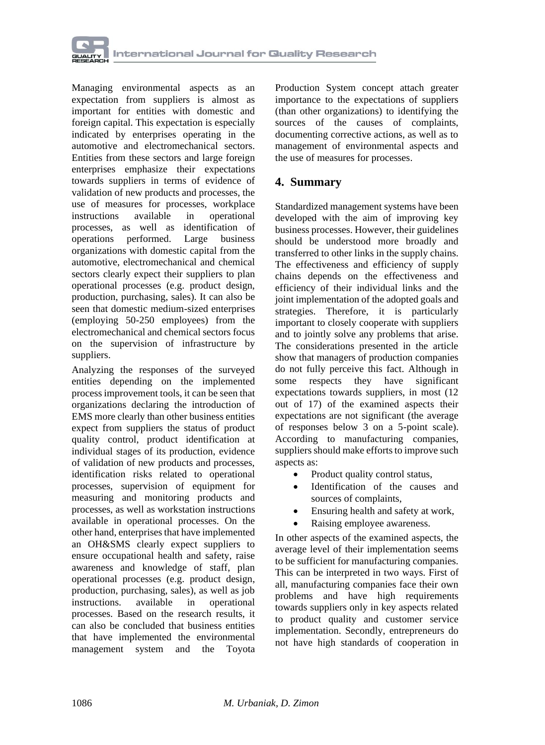

Managing environmental aspects as an expectation from suppliers is almost as important for entities with domestic and foreign capital. This expectation is especially indicated by enterprises operating in the automotive and electromechanical sectors. Entities from these sectors and large foreign enterprises emphasize their expectations towards suppliers in terms of evidence of validation of new products and processes, the use of measures for processes, workplace instructions available in operational processes, as well as identification of operations performed. Large business organizations with domestic capital from the automotive, electromechanical and chemical sectors clearly expect their suppliers to plan operational processes (e.g. product design, production, purchasing, sales). It can also be seen that domestic medium-sized enterprises (employing 50-250 employees) from the electromechanical and chemical sectors focus on the supervision of infrastructure by suppliers.

Analyzing the responses of the surveyed entities depending on the implemented process improvement tools, it can be seen that organizations declaring the introduction of EMS more clearly than other business entities expect from suppliers the status of product quality control, product identification at individual stages of its production, evidence of validation of new products and processes, identification risks related to operational processes, supervision of equipment for measuring and monitoring products and processes, as well as workstation instructions available in operational processes. On the other hand, enterprises that have implemented an OH&SMS clearly expect suppliers to ensure occupational health and safety, raise awareness and knowledge of staff, plan operational processes (e.g. product design, production, purchasing, sales), as well as job instructions. available in operational processes. Based on the research results, it can also be concluded that business entities that have implemented the environmental management system and the Toyota

Production System concept attach greater importance to the expectations of suppliers (than other organizations) to identifying the sources of the causes of complaints, documenting corrective actions, as well as to management of environmental aspects and the use of measures for processes.

### **4. Summary**

Standardized management systems have been developed with the aim of improving key business processes. However, their guidelines should be understood more broadly and transferred to other links in the supply chains. The effectiveness and efficiency of supply chains depends on the effectiveness and efficiency of their individual links and the joint implementation of the adopted goals and strategies. Therefore, it is particularly important to closely cooperate with suppliers and to jointly solve any problems that arise. The considerations presented in the article show that managers of production companies do not fully perceive this fact. Although in some respects they have significant expectations towards suppliers, in most (12 out of 17) of the examined aspects their expectations are not significant (the average of responses below 3 on a 5-point scale). According to manufacturing companies, suppliers should make efforts to improve such aspects as:

- Product quality control status,
- Identification of the causes and sources of complaints,
- Ensuring health and safety at work,
- Raising employee awareness.

In other aspects of the examined aspects, the average level of their implementation seems to be sufficient for manufacturing companies. This can be interpreted in two ways. First of all, manufacturing companies face their own problems and have high requirements towards suppliers only in key aspects related to product quality and customer service implementation. Secondly, entrepreneurs do not have high standards of cooperation in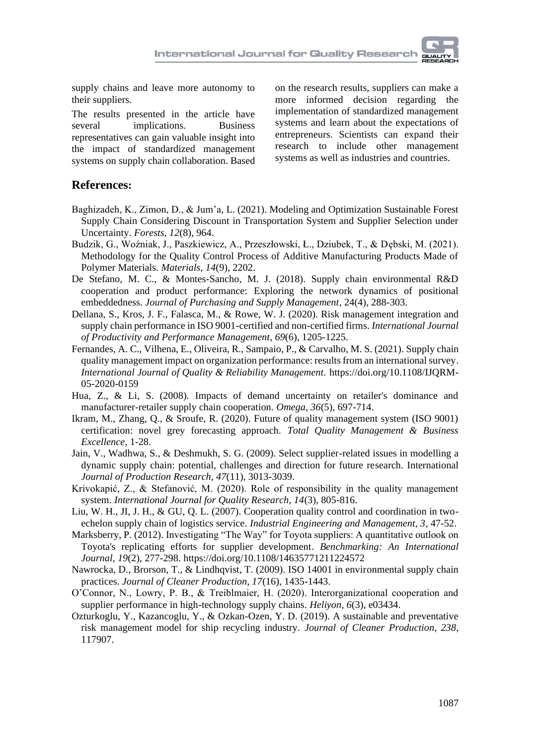supply chains and leave more autonomy to their suppliers.

The results presented in the article have several implications. Business representatives can gain valuable insight into the impact of standardized management systems on supply chain collaboration. Based

on the research results, suppliers can make a more informed decision regarding the implementation of standardized management systems and learn about the expectations of entrepreneurs. Scientists can expand their research to include other management systems as well as industries and countries.

#### **References:**

- Baghizadeh, K., Zimon, D., & Jum'a, L. (2021). Modeling and Optimization Sustainable Forest Supply Chain Considering Discount in Transportation System and Supplier Selection under Uncertainty. *Forests, 12*(8), 964.
- Budzik, G., Woźniak, J., Paszkiewicz, A., Przeszłowski, Ł., Dziubek, T., & Dębski, M. (2021). Methodology for the Quality Control Process of Additive Manufacturing Products Made of Polymer Materials. *Materials, 14*(9), 2202.
- De Stefano, M. C., & Montes-Sancho, M. J. (2018). Supply chain environmental R&D cooperation and product performance: Exploring the network dynamics of positional embeddedness. *Journal of Purchasing and Supply Management*, 24(4), 288-303.
- [Dellana, S.,](https://www.emerald.com/insight/search?q=Scott%20Dellana) [Kros, J.](https://www.emerald.com/insight/search?q=John%20F.%20Kros) F., [Falasca, M.,](https://www.emerald.com/insight/search?q=Mauro%20Falasca) & [Rowe, W.](https://www.emerald.com/insight/search?q=William%20J.%20Rowe) J. (2020). Risk management integration and supply chain performance in ISO 9001-certified and non-certified firms. *[International Journal](https://www.emerald.com/insight/publication/issn/1741-0401)  [of Productivity and Performance Management,](https://www.emerald.com/insight/publication/issn/1741-0401) 69*(6), 1205-1225.
- [Fernandes, A.](https://www.emerald.com/insight/search?q=Ana%20Cristina%20Fernandes) C.[, Vilhena, E.,](https://www.emerald.com/insight/search?q=Estela%20Vilhena) [Oliveira, R.,](https://www.emerald.com/insight/search?q=Rui%20Oliveira) [Sampaio, P.,](https://www.emerald.com/insight/search?q=Paulo%20Sampaio) & [Carvalho, M.](https://www.emerald.com/insight/search?q=Maria%20Sameiro%20Carvalho) S. (2021). Supply chain quality management impact on organization performance: results from an international survey. *[International Journal of Quality & Reliability Management.](https://www.emerald.com/insight/publication/issn/0265-671X)* https://doi.org/10.1108/IJQRM-05-2020-0159
- Hua, Z., & Li, S. (2008). Impacts of demand uncertainty on retailer's dominance and manufacturer-retailer supply chain cooperation. *Omega, 36*(5), 697-714.
- Ikram, M., Zhang, Q., & Sroufe, R. (2020). Future of quality management system (ISO 9001) certification: novel grey forecasting approach. *Total Quality Management & Business Excellence*, 1-28.
- Jain, V., Wadhwa, S., & Deshmukh, S. G. (2009). Select supplier-related issues in modelling a dynamic supply chain: potential, challenges and direction for future research. International *Journal of Production Research, 47*(11), 3013-3039.
- Krivokapić, Z., & Stefanović, M. (2020). Role of responsibility in the quality management system. *International Journal for Quality Research, 14*(3), 805-816.
- Liu, W. H., JI, J. H., & GU, Q. L. (2007). Cooperation quality control and coordination in twoechelon supply chain of logistics service. *Industrial Engineering and Management, 3*, 47-52.
- [Marksberry, P.](https://www.emerald.com/insight/search?q=Phillip%20Marksberry) (2012). Investigating "The Way" for Toyota suppliers: A quantitative outlook on Toyota's replicating efforts for supplier development. *[Benchmarking: An International](https://www.emerald.com/insight/publication/issn/1463-5771)  [Journal,](https://www.emerald.com/insight/publication/issn/1463-5771) 19*(2), 277-298[. https://doi.org/10.1108/14635771211224572](https://doi.org/10.1108/14635771211224572)
- Nawrocka, D., Brorson, T., & Lindhqvist, T. (2009). ISO 14001 in environmental supply chain practices. *Journal of Cleaner Production, 17*(16), 1435-1443.
- O'Connor, N., Lowry, P. B., & Treiblmaier, H. (2020). Interorganizational cooperation and supplier performance in high-technology supply chains. *Heliyon, 6*(3), e03434.
- Ozturkoglu, Y., Kazancoglu, Y., & Ozkan-Ozen, Y. D. (2019). A sustainable and preventative risk management model for ship recycling industry. *Journal of Cleaner Production, 238*, 117907.